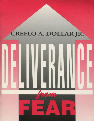# CREFLO A. DOLLAR JR.

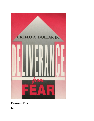<span id="page-1-0"></span>

**Deliverance From**

**Fear**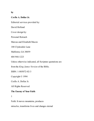#### **by**

#### **Creflo A. Dollar Jr.**

Editorial services provided by:

David Holland

Cover design by:

Personal Retouch

Marcus and Elizabeth Macon

188 Clydesdale Lane

Mableton, GA 30059

404 944-1223

Unless otherwise indicated, all Scripture quotations are

from the *King James Version* of the Bible.

ISBN: 1-885072-02-3

Copyright © 1994

Creflo A. Dollar Jr.

All Rights Reserved

#### **The Enemy of Your Faith**

1

Faith. It moves mountains, produces

miracles, transforms lives and changes eternal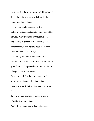destinies. It's the substance of all things hoped for. In fact, faith-filled words brought the universe into existence. There is no doubt about it. For the believer, faith is an absolutely vital part of life in God. Why? Because, without faith it is impossible to please Him (Hebrews 11:6). Furthermore, all things are possible to him who believes (Mark 9:23)! That's why Satan will do anything in his power to attack your faith. If he can neutralize your faith, you're powerless to please God or change your circumstances. To accomplish this, he has a number of weapons in his arsenal, but none is more deadly to your faith than *fear.* As far as your

#### 5

faith is concerned, fear is public enemy #1.

#### **The Spirit of the Times**

We're living in an age of fear. Messages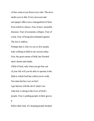of fear come at you from every side. The news media sees to that. Every newscast and newspaper offers you a smorgasbord of fears from which to choose. Fear of new, incurable diseases. Fear of economic collapse. Fear of crime. Fear of being discriminated against. The list is endless.

Perhaps that is why we see so few people truly walking in faith in our society today. Fear, the great enemy of faith, has flooded men's hearts and minds.

Child of God, only when you get fear out of your life will you be able to operate in the faith to which God has called you to walk. You must declare war on fear! I get furious with the devil when I see what fear is doing in the lives of God's people. Fear is putting people in their graves 6

before their time. It's keeping people hooked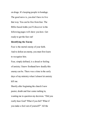on drugs. It's keeping people in bondage. The good news is, you don't have to live that way. You can be free from fear. The Bible-based truths you'll discover in the following pages will show you how. Get ready to get the fear out!

#### **Identifying the Enemy**

Fear is the mortal enemy of your faith. And to defeat an enemy, you must first learn to recognize him.

Fear, simply defined, is a dread or feeling of anxiety. I know firsthand how deadly this enemy can be. There was a time in the early days of my ministry when I almost let anxiety kill me.

Shortly after beginning the church I now pastor, doubt and fear came rushing in, wanting me to question my decision. "Did you really hear God? What if you fail? What if you make a fool out of yourself?" All the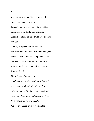whispering voices of fear drove my blood pressure to a dangerous point. Praise God, the Lord showed me that fear, the enemy of my faith, was operating unchecked in my life and I was able to drive him out.

Anxiety is not the only type of fear believers face. Phobias, irrational fears, and various kinds of terrors also plague many believers. All fears come from the same source. We find that source identified in Romans 8:1, 2:

*There is therefore now no condemnation to them which are in Christ Jesus, who walk not after the flesh, but after the Spirit. For the law of the Spirit of life in Christ Jesus hath made me free from the law of sin and death.* We see two basic laws at work in the

7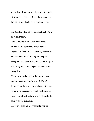world here. First, we see the law of the Spirit of life in Christ Jesus. Secondly, we see the law of sin and death. These are two basic 8

spiritual laws that affect almost all activity in the world today. Now, a law is any fixed or established

principle. It's something which can be expected to function the same way every time. For example, the "law" of gravity applies to everyone. You can drop a rock from the top of a building and expect to get the same result every time.

The same thing is true for the two spiritual systems mentioned in Romans 8. If you're living under the law of sin and death, there is no avoiding receiving sin and death-oriented results. Just like that falling rock, it works the same way for everyone.

These two systems are what is known as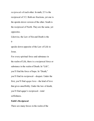*reciprocals* of each other. In math, 2/3 is the reciprocal of 3/2. Both are fractions, yet one is the upside-down version of the other. South is the reciprocal of North. They are the same, yet opposites.

Likewise, the Law of Sin and Death is the

9

upside-down opposite of the Law of Life in Jesus.

For every spiritual force and substance in the realm of Life, there is a reciprocal force or substance in the realm of Death. In "Life", you'll find the force of hope. In "Death," you'll find its reciprocal—despair. Under the first, you'll find *agape* love—the kind of love that gives unselfishly. Under the law of death, you'll find agape's reciprocal—total selfishness.

## **Faith's Reciprocal**

There are many forces in the realm of the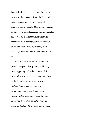law of life in Christ Jesus. One of the most powerful of them is the force of *faith.* Faith moves mountains, work wonders and conquers every obstacle. Over and over, Jesus told people who had received healing miracles that it was their faith that made them well. Does faith have a reciprocal under the law of sin and death? Yes. As you may have guessed, it is called fear. In fact, fear always 10

rushes in to fill the void when faith is not present. We get a clear picture of this very thing happening in Matthew chapter 8. It is the familiar story of Jesus, asleep in the boat, as the disciples are weathering a storm. *And his disciples came to him, and awoke him, saying, Lord, save us: we perish. And he saith unto them, Why are ye fearful, O ye of little faith? Then he arose, and rebuked the winds and the sea;*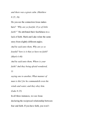*and there was a great calm. (Matthew 8:25, 26)*

Do you see the connection Jesus makes here? *"Why are ye fearful, O ye of little faith?"* He attributed their fearfulness to a lack of faith. Mark and Luke relate the same story from slightly different angles. *And he said unto them, Why are ye so fearful? how is it that ye have no faith? (Mark 4:40) And he said unto them, Where is your*

*faith? And they being afraid wondered,*

11

*saying one to another, What manner of man is this! for he commandeth even the winds and water, and they obey him. (Luke 8:25)* In all three instances, we see Jesus declaring the reciprocal relationship between fear and faith. If you have faith, you won't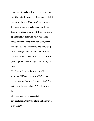have fear. If you have fear, it is because you don't have faith. Jesus could not have stated it any more plainly. *Where faith is, fear isn't.* It is crucial that you understand one thing. Fear gives place to the devil. It allows him to operate freely. This was what was taking place with the disciples in that leaky, stormtossed boat. Their fear in the beginning stages of the storm gave Satan room to really start causing problems. Fear allowed the storm to get to a point where it might have destroyed them.

That's why Jesus exclaimed when He woke up, *"Where is your faith?!"* In essence he was saying, "Why is this happening? Why is there water in this boat?! Why have you

#### 12

allowed your fear to generate this circumstance rather than taking authority over it by faith?"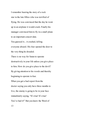I remember hearing the story of a rock star in the late fifties who was terrified of flying. He was convinced that the day he went up in an airplane it would crash. Finally his manager convinced him to fly in a small plane to an important concert date. You guessed it... it crashed, killing everyone aboard. His fear opened the door to the very thing he dreaded. There is no way for Satan to operate destructively in your life unless you give place to him. How do you give place to the devil? By giving attention to his words and thereby beginning to operate in fear. When you get a bad report from the doctor saying you only have three months to live, the enemy is going to be in your face immediately saying, "It's true! It's true! You've had it!" But you know the Word of 13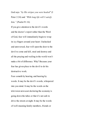God says *"by His stripes you were healed"* (I Peter 2:24) and *"With long life will I satisfy him."* (Psalm 91:16)

If you give attention to the devil's words and the doctor's report rather than the Word of God, fear will immediately begin to wrap its icy fingers around your heart. Unchecked and unreversed, fear will open the door to the devil to come and kill, steal and destroy and all the praying and wailing in the world won't make a bit of difference. Why? Because your fear has given place to the devil to do his destructive work.

Fear cometh by hearing, and hearing by words. It may be the devil's words, whispered into you mind. It may be the words on the television newscast declaring the economy is going down the tubes or that it's not safe to drive the streets at night. It may be the words of well-meaning family members, friends or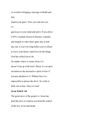co-workers bringing a message of doubt and fear.

Guard your gates. Your eyes and ears are 14

gateways to your mind and spirit. If you allow CNN's constant stream of disaster, calamity and tragedy to enter those gates day in and day out, it won't be long before you're afraid to leave your house, much less do the things God has called you to do. No matter where it comes from, if it doesn't line up with God's Word, it's an open invitation to the destructive spirit of fear if you pay attention to it. Without fear it is impossible to please the devil. So walk in faith, not in fear. Glory to God!

### **Jesus Paid It All**

The good news of the gospel is: Jesus has paid the price to redeem you from the control of the law of sin and death.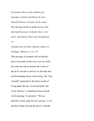*Forasmuch then as the children are partakers of flesh and blood, he also himself likewise took part of the same; that through death he might destroy him that had the power of death, that is, the devil; And deliver them who through fear* 15

*of death were all their lifetime subject to bondage. (Hebrews 2:14, 15)*

This passage of scripture tells us that the price Jesus paid on the cross was two-fold. He came not only to destroy the works of the devil, but also to deliver us from the fear and the bondage those works bring. The "fear of death" mentioned is the direct result of living under the law of sin and death. The word "destroy" is translated from a Greek word meaning, "to paralyze." We see, therefore, Jesus came for two reasons. (1) To paralyze Satan who has the power of death,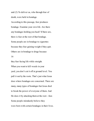and (2) To deliver us, who through fear of death, were held in bondage. According to this passage, fear produces bondage. Examine your own life. Are there any bondages holding you back? If there are, there is fear at the root of that bondage. Some people are in bondage to cigarettes because they fear gaining weight if they quit. Others are in bondage to drugs because 16

they fear facing life while straight. When you want to kill weeds in your yard, you don't cut it off at ground level. You pull it out by the roots. That's just what Jesus does where bondages are concerned. There are many, many types of bondages but Jesus died to break the power of everyone of them. And He does it by attacking them at the root—fear. Some people mistakenly believe they were born with certain bondages in their lives.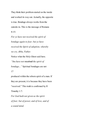They think their problem started on the inside and worked its way out. Actually, the opposite is true. Bondage always works from the outside-in. This is the message of Romans 8:15:

*For ye have not received the spirit of bondage again to fear; but ye have received the Spirit of adoption, whereby we cry, Abba, Father.* Notice what the Holy Ghost said here. *"You have not received the spirit of bondage..."* Spiritual bondages are not 17 produced within the reborn spirit of a man. If

they are present, it is because they have been

"received." This truth is confirmed by II

Timothy 1:7:

*For God hath not given us the spirit of fear; but of power, and of love, and of a sound mind.*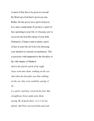A spirit of fear has to be given to you and the Word says God hasn't given you one. Rather, He has given you a spirit of power, love and a sound mind. If you have a spirit of fear operating in your life, it's because you've received one from the enemy of your faith. Ordinarily, if Satan wants to plant a spirit of fear in your life, he'll do it by directing your attention to external circumstances. This is precisely what happened to the disciples in the 14th chapter of Matthew: *And in the fourth watch of the night Jesus went unto them, walking on the sea. And when the disciples saw him walking on the sea, they were troubled, saying, It* 18 *is a spirit; and they cried out for fear. But*

*straightway Jesus spake unto them, saying, Be of good cheer; it is I; be not afraid. And Peter answered him and said,*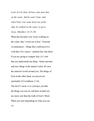*Lord, if it be thou, bid me come unto thee on the water. And he said, Come. And when Peter was come down out of the ship, he walked on the water, to go to Jesus. (Matthew 14:25-29)*

When the disciples saw Jesus walking on the water, they "cried out in fear." External circumstances—things they could perceive with their five senses—planted fear into them. If you are going to conquer fear, it's vital that you understand one thing—Satan operates and uses things in the natural realm. He uses the material world around you. The things of God on the other hand, are perceived spiritually (I Corinthians 2:14). The devil's tactic is to convince you that the things you can see and hear around you are more real than the truth of God's Word. When you start depending on what you can

19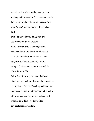see rather than what God has said, you are wide open for deception. There is no place for faith in that kind of life. Why? Because *"we walk by faith, not by sight."* (II Corinthians 5:7)

Don't be moved by the things you can see. Be moved by the unseen: *While we look not at the things which are seen, but at the things which are not seen: for the things which are seen are temporal [subject to change]; but the things which are not seen are eternal. (II Corinthians 4:18)*

When Peter first stepped out of that boat, his focus was totally on Jesus and the word He had spoken— *"Come!"* As long as Peter kept that focus, he was able to operate in the realm of the miraculous. But look what happened when he turned his eyes toward the circumstances around him: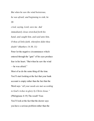*But when he saw the wind boisterous, he was afraid; and beginning to sink, he* 20

*cried, saying, Lord, save me. And immediately Jesus stretched forth his hand, and caught him, and said unto him, O thou of little faith, wherefore didst thou doubt? (Matthew 14:30, 31)* Peter let the negative circumstances which entered through the "gate" of his eyes produce fear in his heart. "But when he saw the wind —he was afraid." Most of us do the same thing all the time. You'll start looking at the fact that your bank account is empty rather than the fact that the Word says *"all your needs are met according to God's riches in glory by Christ Jesus."* (Philippians 4:19) The result? Fear. You'll look at the fact that the doctor says you have a serious problem rather than the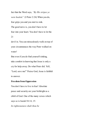fact that the Word says, *"By His stripes ye were healed."* (I Peter 2:24) When you do, fear grips you and you start to sink. The good news is, you don't have to let fear into your heart. You don't have to let the 21 devil in. You can miraculously walk on top of your circumstances the way Peter walked on water!

But even if you do find yourself sinking, take comfort in knowing that Jesus is only a cry for help away. Do what Peter did. Yell, "Lord, save me!" Praise God, Jesus is faithful to answer.

#### **Freedom from Oppression**

You don't have to live in fear! Absolute peace and security are your birthright as a child of God. One of the many verses which says so is Isaiah 54:14, 15: *In righteousness shalt thou be*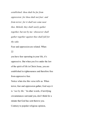*established: thou shalt be far from oppression: for thou shalt not fear: and from terror; for it shall not come near thee. Behold, they shall surely gather together, but not by me: whosoever shall gather together against thee shall fall for thy sake.*

Fear and oppression are related. When 22

you have fear operating in your life, it's oppressive. But when you live under the law of the spirit of life in Christ Jesus, you are established in righteousness and therefore free from oppressive fear. Notice what else this verse tells us. When terror, fear and oppression gather, God says it is *"not by Me."* In other words, if terrifying circumstances surround you, don't think for a minute that God has sent them to you. Contrary to popular religious opinion,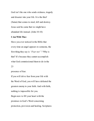God isn't the one who sends sickness, tragedy and disaster into your life. It is the thief (Satan) that comes to steal, kill and destroy. Jesus said he came that we might have abundant life instead. (John 10:10)

#### **I Am With Thee**

Have you ever noticed in the Bible that every time an angel appears to someone, the first thing they say is *"Fear not"* ? Why is that? It's because they cannot accomplish what God commissioned them to do in the 23

presence of fear.

If you will drive fear from your life with the Word of God, you will have defeated the greatest enemy to your faith. And with faith, nothing is impossible for you. Begin now to fill your heart with the promises in God's Word concerning protection, provision and healing. Scriptures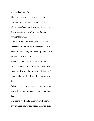such as Isaiah 41:10:

*Fear thou not; for I am with thee: be not dismayed; for I am thy God: 1 will strengthen thee; yea, I will help thee; yea, I will uphold thee with the right hand of my righteousness.*

God has filled His Word with reasons to "fear not." Faith drives out fear and *"Faith cometh by hearing, and hearing by the Word*

*of God."* (Romans 10:17)

When you take hold of the Word of God rather than the word of the devil, faith rather than fear fills your heart and mind. You can't have a mixture of faith and fear in your heart.

#### 24

When one is present, the other leaves. Either you will walk in faith or you will operate in fear.

Choose to walk in faith. If you will, you'll live in more power and peace than you ever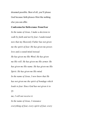dreamed possible. Best of all, you'll please God because faith pleases Him like nothing else you can offer.

#### **Confession for Deliverance From Fear**

*In the name of Jesus, I make a decision to walk by faith and not by fear. I understand now that my Heavenly Father has not given me the spirit of fear. He has given me power, love and a sound mind instead. He has given me His Word. He has given me His will. He has given me His armor. He has given me His name. He has given me His Spirit. He has given me His mind. In the name of Jesus, I now know that He has not given me the spirit of bondage which leads to fear. Since God has not given it to* 25

*me, I will not receive it. In the name of Jesus, I renounce everything of fear, every spirit of fear, every*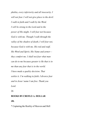*phobia, every inferiority and all insecurity. I will not fear. I will not give place to the devil. I walk in faith and I walk by the Word. I will be strong in the Lord and in the power of His might. I will fear not because God is with me. Though I walk through the valley of the shadow of death, I will fear not, because God is with me. His rod and staf , His Word and Spirit, His Name and armor they comfort me. I shall not fear what man can do to me because greater is He that is in me than any fear that is in the world. I have made a quality decision. That settles it. I'm walking in faith. I divorce fear and in Jesus' name I am free. Thank you Lord.*

26

#### **BOOKS BYCREFLO A. DOLLAR**

#### **JR.**

**\*** Capturing the Reality of Heaven and Hell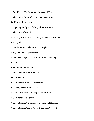- **\*** Confidence: The Missing Substance of Faith
- **\*** The Divine Order of Faith: How to Get from the

Problem to the Answer

- **\*** Exposing the Spirit of Competitive Jealousy
- **\*** The Force of Integrity
- **\*** Hearing from God and Walking in the Comfort of the

# Holy Spirit

- **\*** Lasciviousness: The Results of Neglect
- **\*** Rightness vs. Righteousness
- **\*** Understanding God's Purpose for the Anointing
- **\*** Attitudes
- **\*** The Sins of the Mouth

# **TAPE SERIES BYCREFLO A.**

# **DOLLAR JR.**

- **\*** Deliverance from Lasciviousness
- **\*** Destroying the Root of Debt
- **\*** How to Experience a Deeper Life in Prayer
- **\*** God Wants You Healed
- **\*** Understanding the Season of Sowing and Reaping
- **\*** Understanding God's Way to Financial Prosperity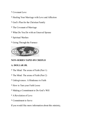- **\*** Covenant Love
- **\*** Healing Your Marriage with Love and Affection
- **\*** God's Plan for the Christian Family
- **\*** The Covenant of Marriage
- **\*** What Do You Do with an Unsaved Spouse
- **\*** Spiritual Warfare
- **\*** Going Through the Furnace



# **NON-SERIES TAPES BYCREFLO**

# **A. DOLLAR JR.**

- **\*** The Mind: The arena of Faith (Part 1)
- **\*** The Mind: The arena of Faith (Part 2)
- **\*** Unforgiveness: A Hindrance to Faith
- **\*** How to Turn your Faith Loose
- **\*** Making a Commitment to Do God's Will
- **\*** A Revelation of Love
- **\*** Commitment to Serve

If you would like more information about this ministry,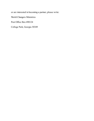or are interested in becoming a partner, please write:

World Changers Ministries

Post Office Box 490124

College Park, Georgia 30349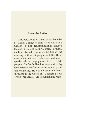#### **About the Author**

Creflo A. Dollar Jr. is Pastor and Founder of World Changers Ministries Christian Center, a non-denominational church located in College Park, Georgia. Formerly an Educational Therapist, he began the ministry with eight people in 1986. He is now an international teacher and conference speaker with a congregation of over 10,000 people. Creflo Dollar has been called by God to teach the Gospel with simplicity and understanding. He can be seen and heard throughout the world on "Changing Your World" broadcasts, via television and radio.